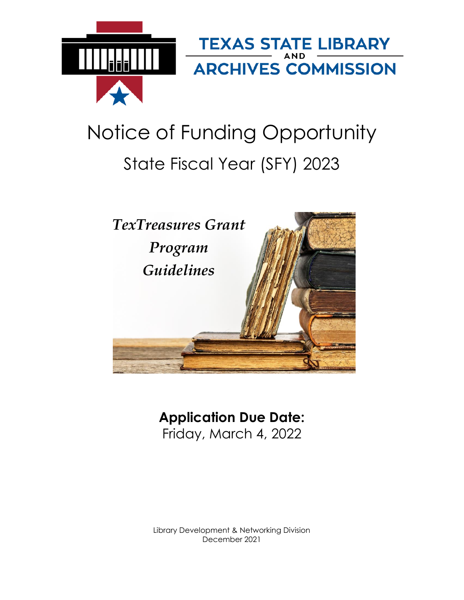

# Notice of Funding Opportunity State Fiscal Year (SFY) 2023



## **Application Due Date:** Friday, March 4, 2022

Library Development & Networking Division December 2021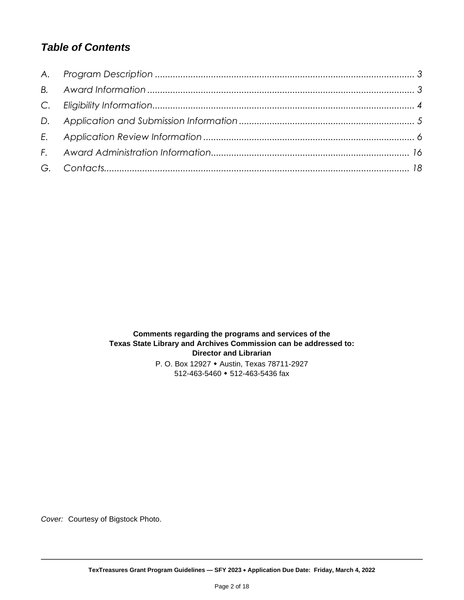## *Table of Contents*

**Comments regarding the programs and services of the Texas State Library and Archives Commission can be addressed to: Director and Librarian** P. O. Box 12927 Austin, Texas 78711-2927 512-463-5460 • 512-463-5436 fax

*Cover:* Courtesy of Bigstock Photo.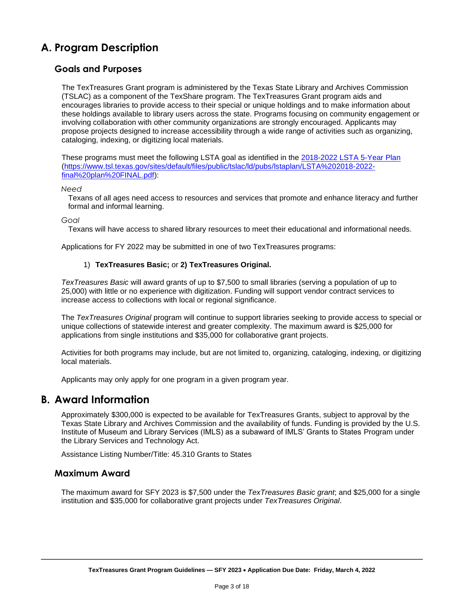## <span id="page-2-0"></span>**A. Program Description**

#### **Goals and Purposes**

The TexTreasures Grant program is administered by the Texas State Library and Archives Commission (TSLAC) as a component of the TexShare program. The TexTreasures Grant program aids and encourages libraries to provide access to their special or unique holdings and to make information about these holdings available to library users across the state. Programs focusing on community engagement or involving collaboration with other community organizations are strongly encouraged. Applicants may propose projects designed to increase accessibility through a wide range of activities such as organizing, cataloging, indexing, or digitizing local materials.

These programs must meet the following LSTA goal as identified in the [2018-2022 LSTA 5-Year Plan]((https:/www.tsl.texas.gov/sites/default/files/public/tslac/ld/pubs/lstaplan/LSTA%202018-2022-final%20plan%20FINAL.pdf)%20:) [\(https://www.tsl.texas.gov/sites/default/files/public/tslac/ld/pubs/lstaplan/LSTA%202018-2022](https://www.tsl.texas.gov/sites/default/files/public/tslac/ld/pubs/lstaplan/LSTA%202018-2022-final%20plan%20FINAL.pdf) [final%20plan%20FINAL.pdf\)](https://www.tsl.texas.gov/sites/default/files/public/tslac/ld/pubs/lstaplan/LSTA%202018-2022-final%20plan%20FINAL.pdf):

#### *Need*

Texans of all ages need access to resources and services that promote and enhance literacy and further formal and informal learning.

#### *Goal*

Texans will have access to shared library resources to meet their educational and informational needs.

Applications for FY 2022 may be submitted in one of two TexTreasures programs:

#### 1) **TexTreasures Basic;** or **2) TexTreasures Original.**

*TexTreasures Basic* will award grants of up to \$7,500 to small libraries (serving a population of up to 25,000) with little or no experience with digitization. Funding will support vendor contract services to increase access to collections with local or regional significance.

The *TexTreasures Original* program will continue to support libraries seeking to provide access to special or unique collections of statewide interest and greater complexity. The maximum award is \$25,000 for applications from single institutions and \$35,000 for collaborative grant projects.

Activities for both programs may include, but are not limited to, organizing, cataloging, indexing, or digitizing local materials.

Applicants may only apply for one program in a given program year.

#### <span id="page-2-1"></span>**B. Award Information**

Approximately \$300,000 is expected to be available for TexTreasures Grants, subject to approval by the Texas State Library and Archives Commission and the availability of funds. Funding is provided by the U.S. Institute of Museum and Library Services (IMLS) as a subaward of IMLS' Grants to States Program under the Library Services and Technology Act.

Assistance Listing Number/Title: 45.310 Grants to States

#### **Maximum Award**

The maximum award for SFY 2023 is \$7,500 under the *TexTreasures Basic grant*; and \$25,000 for a single institution and \$35,000 for collaborative grant projects under *TexTreasures Original*.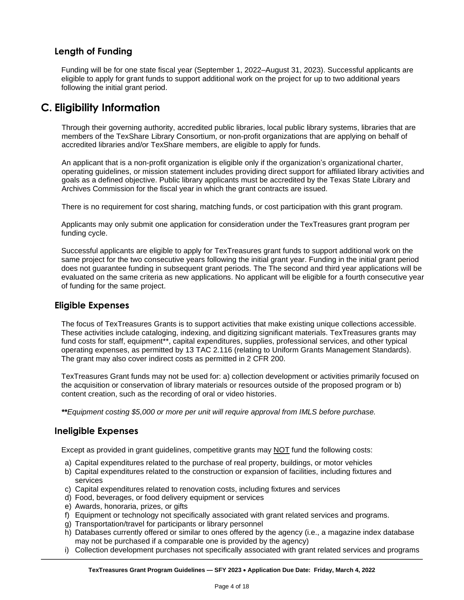#### **Length of Funding**

Funding will be for one state fiscal year (September 1, 2022–August 31, 2023). Successful applicants are eligible to apply for grant funds to support additional work on the project for up to two additional years following the initial grant period.

## <span id="page-3-0"></span>**C. Eligibility Information**

Through their governing authority, accredited public libraries, local public library systems, libraries that are members of the TexShare Library Consortium, or non-profit organizations that are applying on behalf of accredited libraries and/or TexShare members, are eligible to apply for funds.

An applicant that is a non-profit organization is eligible only if the organization's organizational charter, operating guidelines, or mission statement includes providing direct support for affiliated library activities and goals as a defined objective. Public library applicants must be accredited by the Texas State Library and Archives Commission for the fiscal year in which the grant contracts are issued.

There is no requirement for cost sharing, matching funds, or cost participation with this grant program.

Applicants may only submit one application for consideration under the TexTreasures grant program per funding cycle.

Successful applicants are eligible to apply for TexTreasures grant funds to support additional work on the same project for the two consecutive years following the initial grant year. Funding in the initial grant period does not guarantee funding in subsequent grant periods. The The second and third year applications will be evaluated on the same criteria as new applications. No applicant will be eligible for a fourth consecutive year of funding for the same project.

#### **Eligible Expenses**

The focus of TexTreasures Grants is to support activities that make existing unique collections accessible. These activities include cataloging, indexing, and digitizing significant materials. TexTreasures grants may fund costs for staff, equipment\*\*, capital expenditures, supplies, professional services, and other typical operating expenses, as permitted by 13 TAC 2.116 (relating to Uniform Grants Management Standards). The grant may also cover indirect costs as permitted in 2 CFR 200.

TexTreasures Grant funds may not be used for: a) collection development or activities primarily focused on the acquisition or conservation of library materials or resources outside of the proposed program or b) content creation, such as the recording of oral or video histories.

*\*\*Equipment costing \$5,000 or more per unit will require approval from IMLS before purchase.*

#### **Ineligible Expenses**

Except as provided in grant guidelines, competitive grants may NOT fund the following costs:

- a) Capital expenditures related to the purchase of real property, buildings, or motor vehicles
- b) Capital expenditures related to the construction or expansion of facilities, including fixtures and services
- c) Capital expenditures related to renovation costs, including fixtures and services
- d) Food, beverages, or food delivery equipment or services
- e) Awards, honoraria, prizes, or gifts
- f) Equipment or technology not specifically associated with grant related services and programs.
- g) Transportation/travel for participants or library personnel
- h) Databases currently offered or similar to ones offered by the agency (i.e., a magazine index database may not be purchased if a comparable one is provided by the agency)
- i) Collection development purchases not specifically associated with grant related services and programs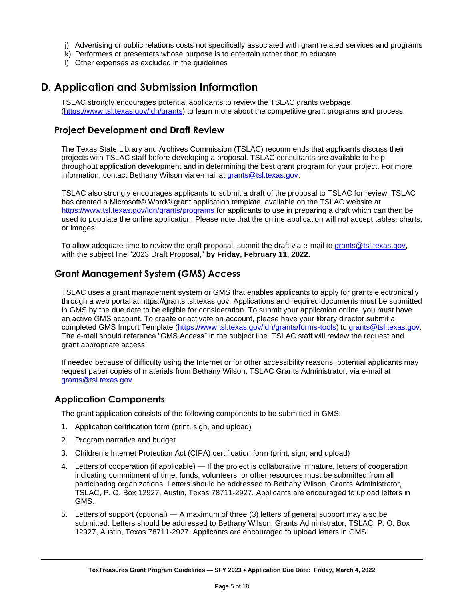- j) Advertising or public relations costs not specifically associated with grant related services and programs
- k) Performers or presenters whose purpose is to entertain rather than to educate
- l) Other expenses as excluded in the guidelines

## <span id="page-4-0"></span>**D. Application and Submission Information**

TSLAC strongly encourages potential applicants to review the TSLAC grants webpage [\(https://www.tsl.texas.gov/ldn/grants\)](https://www.tsl.texas.gov/ldn/grants) to learn more about the competitive grant programs and process.

#### **Project Development and Draft Review**

The Texas State Library and Archives Commission (TSLAC) recommends that applicants discuss their projects with TSLAC staff before developing a proposal. TSLAC consultants are available to help throughout application development and in determining the best grant program for your project. For more information, contact Bethany Wilson via e-mail at [grants@tsl.texas.gov.](grants@tsl.texas.gov)

TSLAC also strongly encourages applicants to submit a draft of the proposal to TSLAC for review. TSLAC has created a Microsoft® Word® grant application template, available on the TSLAC website at <https://www.tsl.texas.gov/ldn/grants/programs> for applicants to use in preparing a draft which can then be used to populate the online application. Please note that the online application will not accept tables, charts, or images.

To allow adequate time to review the draft proposal, submit the draft via e-mail to [grants@tsl.texas.gov,](mailto:grants@tsl.texas.gov) with the subject line "2023 Draft Proposal," **by Friday, February 11, 2022.**

#### **Grant Management System (GMS) Access**

TSLAC uses a grant management system or GMS that enables applicants to apply for grants electronically through a web portal at https://grants.tsl.texas.gov. Applications and required documents must be submitted in GMS by the due date to be eligible for consideration. To submit your application online, you must have an active GMS account. To create or activate an account, please have your library director submit a completed GMS Import Template [\(https://www.tsl.texas.gov/ldn/grants/forms-tools\)](https://www.tsl.texas.gov/ldn/grants/forms-tools) to [grants@tsl.texas.gov.](file:///C:/Users/emccormick/AppData/Local/Microsoft/Windows/INetCache/Content.Outlook/X485HRKX/grants@tsl.texas.gov) The e-mail should reference "GMS Access" in the subject line. TSLAC staff will review the request and grant appropriate access.

If needed because of difficulty using the Internet or for other accessibility reasons, potential applicants may request paper copies of materials from Bethany Wilson, TSLAC Grants Administrator, via e-mail at [grants@tsl.texas.gov.](grants@tsl.texas.gov)

#### **Application Components**

The grant application consists of the following components to be submitted in GMS:

- 1. Application certification form (print, sign, and upload)
- 2. Program narrative and budget
- 3. Children's Internet Protection Act (CIPA) certification form (print, sign, and upload)
- 4. Letters of cooperation (if applicable) If the project is collaborative in nature, letters of cooperation indicating commitment of time, funds, volunteers, or other resources must be submitted from all participating organizations. Letters should be addressed to Bethany Wilson, Grants Administrator, TSLAC, P. O. Box 12927, Austin, Texas 78711-2927. Applicants are encouraged to upload letters in GMS.
- 5. Letters of support (optional) A maximum of three (3) letters of general support may also be submitted. Letters should be addressed to Bethany Wilson, Grants Administrator, TSLAC, P. O. Box 12927, Austin, Texas 78711-2927. Applicants are encouraged to upload letters in GMS.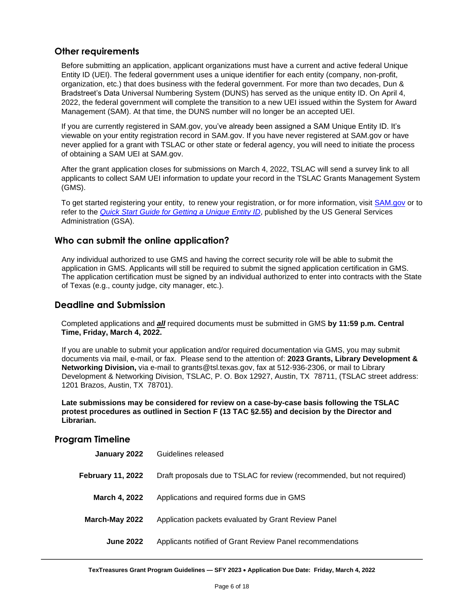#### **Other requirements**

Before submitting an application, applicant organizations must have a current and active federal Unique Entity ID (UEI). The federal government uses a unique identifier for each entity (company, non-profit, organization, etc.) that does business with the federal government. For more than two decades, Dun & Bradstreet's Data Universal Numbering System (DUNS) has served as the unique entity ID. On April 4, 2022, the federal government will complete the transition to a new UEI issued within the System for Award Management (SAM). At that time, the DUNS number will no longer be an accepted UEI.

If you are currently registered in SAM.gov, you've already been assigned a SAM Unique Entity ID. It's viewable on your entity registration record in SAM.gov. If you have never registered at SAM.gov or have never applied for a grant with TSLAC or other state or federal agency, you will need to initiate the process of obtaining a SAM UEI at SAM.gov.

After the grant application closes for submissions on March 4, 2022, TSLAC will send a survey link to all applicants to collect SAM UEI information to update your record in the TSLAC Grants Management System (GMS).

To get started registering your entity, to renew your registration, or for more information, visit **SAM.gov** or to refer to the *[Quick Start Guide for Getting a Unique Entity ID](https://www.msac.org/media/570/download?inline)*, published by the US General Services Administration (GSA).

#### **Who can submit the online application?**

Any individual authorized to use GMS and having the correct security role will be able to submit the application in GMS. Applicants will still be required to submit the signed application certification in GMS. The application certification must be signed by an individual authorized to enter into contracts with the State of Texas (e.g., county judge, city manager, etc.).

#### **Deadline and Submission**

Completed applications and *all* required documents must be submitted in GMS **by 11:59 p.m. Central Time, Friday, March 4, 2022.**

If you are unable to submit your application and/or required documentation via GMS, you may submit documents via mail, e-mail, or fax. Please send to the attention of: **2023 Grants, Library Development & Networking Division,** via e-mail to grants@tsl.texas.gov, fax at 512-936-2306, or mail to Library Development & Networking Division, TSLAC, P. O. Box 12927, Austin, TX 78711, (TSLAC street address: 1201 Brazos, Austin, TX 78701).

**Late submissions may be considered for review on a case-by-case basis following the TSLAC protest procedures as outlined in Section F (13 TAC §2.55) and decision by the Director and Librarian.**

#### **Program Timeline**

<span id="page-5-0"></span>

| Guidelines released                                                     |
|-------------------------------------------------------------------------|
| Draft proposals due to TSLAC for review (recommended, but not required) |
| Applications and required forms due in GMS                              |
| Application packets evaluated by Grant Review Panel                     |
| Applicants notified of Grant Review Panel recommendations               |
|                                                                         |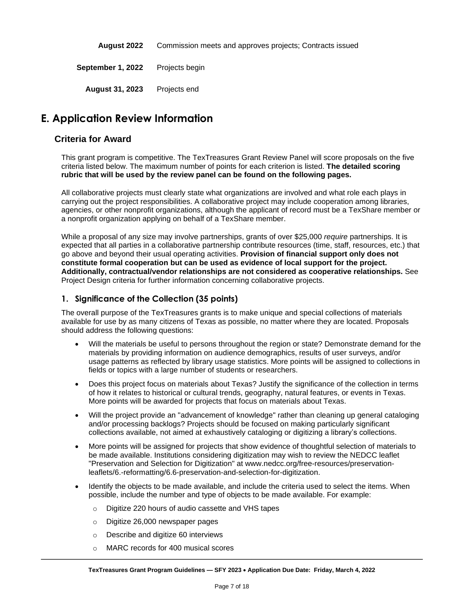**August 2022** Commission meets and approves projects; Contracts issued **September 1, 2022** Projects begin **August 31, 2023** Projects end

## **E. Application Review Information**

#### **Criteria for Award**

This grant program is competitive. The TexTreasures Grant Review Panel will score proposals on the five criteria listed below. The maximum number of points for each criterion is listed. **The detailed scoring rubric that will be used by the review panel can be found on the following pages.**

All collaborative projects must clearly state what organizations are involved and what role each plays in carrying out the project responsibilities. A collaborative project may include cooperation among libraries, agencies, or other nonprofit organizations, although the applicant of record must be a TexShare member or a nonprofit organization applying on behalf of a TexShare member.

While a proposal of any size may involve partnerships, grants of over \$25,000 *require* partnerships. It is expected that all parties in a collaborative partnership contribute resources (time, staff, resources, etc.) that go above and beyond their usual operating activities. **Provision of financial support only does not constitute formal cooperation but can be used as evidence of local support for the project. Additionally, contractual/vendor relationships are not considered as cooperative relationships.** See Project Design criteria for further information concerning collaborative projects.

#### **1. Significance of the Collection (35 points)**

The overall purpose of the TexTreasures grants is to make unique and special collections of materials available for use by as many citizens of Texas as possible, no matter where they are located. Proposals should address the following questions:

- Will the materials be useful to persons throughout the region or state? Demonstrate demand for the materials by providing information on audience demographics, results of user surveys, and/or usage patterns as reflected by library usage statistics. More points will be assigned to collections in fields or topics with a large number of students or researchers.
- Does this project focus on materials about Texas? Justify the significance of the collection in terms of how it relates to historical or cultural trends, geography, natural features, or events in Texas. More points will be awarded for projects that focus on materials about Texas.
- Will the project provide an "advancement of knowledge" rather than cleaning up general cataloging and/or processing backlogs? Projects should be focused on making particularly significant collections available, not aimed at exhaustively cataloging or digitizing a library's collections.
- More points will be assigned for projects that show evidence of thoughtful selection of materials to be made available. Institutions considering digitization may wish to review the NEDCC leaflet "Preservation and Selection for Digitization" at www.nedcc.org/free-resources/preservationleaflets/6.-reformatting/6.6-preservation-and-selection-for-digitization.
- Identify the objects to be made available, and include the criteria used to select the items. When possible, include the number and type of objects to be made available. For example:
	- o Digitize 220 hours of audio cassette and VHS tapes
	- o Digitize 26,000 newspaper pages
	- o Describe and digitize 60 interviews
	- o MARC records for 400 musical scores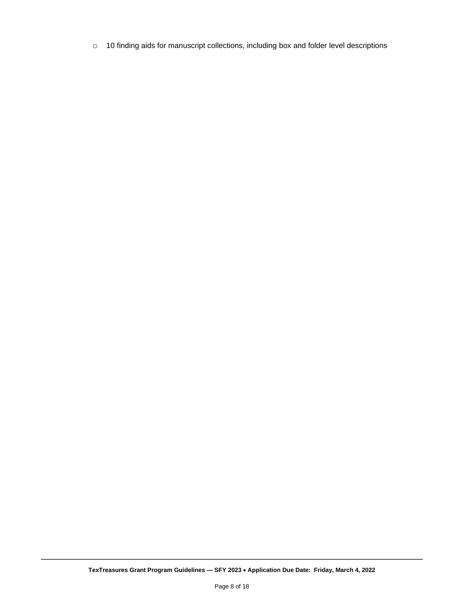o 10 finding aids for manuscript collections, including box and folder level descriptions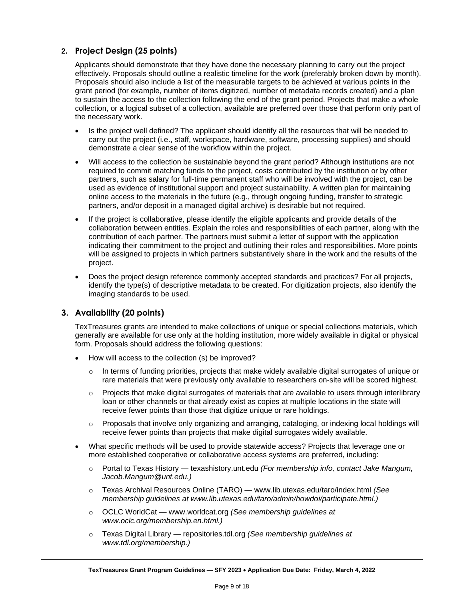#### **2. Project Design (25 points)**

Applicants should demonstrate that they have done the necessary planning to carry out the project effectively. Proposals should outline a realistic timeline for the work (preferably broken down by month). Proposals should also include a list of the measurable targets to be achieved at various points in the grant period (for example, number of items digitized, number of metadata records created) and a plan to sustain the access to the collection following the end of the grant period. Projects that make a whole collection, or a logical subset of a collection, available are preferred over those that perform only part of the necessary work.

- Is the project well defined? The applicant should identify all the resources that will be needed to carry out the project (i.e., staff, workspace, hardware, software, processing supplies) and should demonstrate a clear sense of the workflow within the project.
- Will access to the collection be sustainable beyond the grant period? Although institutions are not required to commit matching funds to the project, costs contributed by the institution or by other partners, such as salary for full-time permanent staff who will be involved with the project, can be used as evidence of institutional support and project sustainability. A written plan for maintaining online access to the materials in the future (e.g., through ongoing funding, transfer to strategic partners, and/or deposit in a managed digital archive) is desirable but not required.
- If the project is collaborative, please identify the eligible applicants and provide details of the collaboration between entities. Explain the roles and responsibilities of each partner, along with the contribution of each partner. The partners must submit a letter of support with the application indicating their commitment to the project and outlining their roles and responsibilities. More points will be assigned to projects in which partners substantively share in the work and the results of the project.
- Does the project design reference commonly accepted standards and practices? For all projects, identify the type(s) of descriptive metadata to be created. For digitization projects, also identify the imaging standards to be used.

#### **3. Availability (20 points)**

TexTreasures grants are intended to make collections of unique or special collections materials, which generally are available for use only at the holding institution, more widely available in digital or physical form. Proposals should address the following questions:

- How will access to the collection (s) be improved?
	- $\circ$  In terms of funding priorities, projects that make widely available digital surrogates of unique or rare materials that were previously only available to researchers on-site will be scored highest.
	- $\circ$  Projects that make digital surrogates of materials that are available to users through interlibrary loan or other channels or that already exist as copies at multiple locations in the state will receive fewer points than those that digitize unique or rare holdings.
	- Proposals that involve only organizing and arranging, cataloging, or indexing local holdings will receive fewer points than projects that make digital surrogates widely available.
- What specific methods will be used to provide statewide access? Projects that leverage one or more established cooperative or collaborative access systems are preferred, including:
	- o Portal to Texas History texashistory.unt.edu *(For membership info, contact Jake Mangum, Jacob.Mangum@unt.edu.)*
	- o Texas Archival Resources Online (TARO) www.lib.utexas.edu/taro/index.html *(See membership guidelines at www.lib.utexas.edu/taro/admin/howdoi/participate.html.)*
	- o OCLC WorldCat www.worldcat.org *(See membership guidelines at www.oclc.org/membership.en.html.)*
	- o Texas Digital Library repositories.tdl.org *(See membership guidelines at www.tdl.org/membership.)*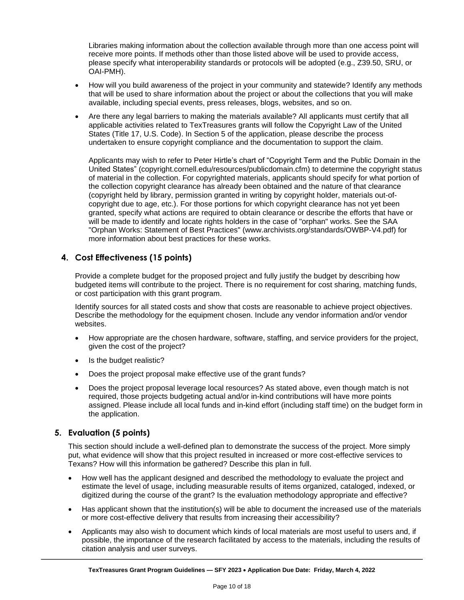Libraries making information about the collection available through more than one access point will receive more points. If methods other than those listed above will be used to provide access, please specify what interoperability standards or protocols will be adopted (e.g., Z39.50, SRU, or OAI-PMH).

- How will you build awareness of the project in your community and statewide? Identify any methods that will be used to share information about the project or about the collections that you will make available, including special events, press releases, blogs, websites, and so on.
- Are there any legal barriers to making the materials available? All applicants must certify that all applicable activities related to TexTreasures grants will follow the Copyright Law of the United States (Title 17, U.S. Code). In Section 5 of the application, please describe the process undertaken to ensure copyright compliance and the documentation to support the claim.

Applicants may wish to refer to Peter Hirtle's chart of "Copyright Term and the Public Domain in the United States" (copyright.cornell.edu/resources/publicdomain.cfm) to determine the copyright status of material in the collection. For copyrighted materials, applicants should specify for what portion of the collection copyright clearance has already been obtained and the nature of that clearance (copyright held by library, permission granted in writing by copyright holder, materials out-ofcopyright due to age, etc.). For those portions for which copyright clearance has not yet been granted, specify what actions are required to obtain clearance or describe the efforts that have or will be made to identify and locate rights holders in the case of "orphan" works. See the SAA "Orphan Works: Statement of Best Practices" (www.archivists.org/standards/OWBP-V4.pdf) for more information about best practices for these works.

#### **4. Cost Effectiveness (15 points)**

Provide a complete budget for the proposed project and fully justify the budget by describing how budgeted items will contribute to the project. There is no requirement for cost sharing, matching funds, or cost participation with this grant program.

Identify sources for all stated costs and show that costs are reasonable to achieve project objectives. Describe the methodology for the equipment chosen. Include any vendor information and/or vendor websites.

- How appropriate are the chosen hardware, software, staffing, and service providers for the project, given the cost of the project?
- Is the budget realistic?
- Does the project proposal make effective use of the grant funds?
- Does the project proposal leverage local resources? As stated above, even though match is not required, those projects budgeting actual and/or in-kind contributions will have more points assigned. Please include all local funds and in-kind effort (including staff time) on the budget form in the application.

#### **5. Evaluation (5 points)**

This section should include a well-defined plan to demonstrate the success of the project. More simply put, what evidence will show that this project resulted in increased or more cost-effective services to Texans? How will this information be gathered? Describe this plan in full.

- How well has the applicant designed and described the methodology to evaluate the project and estimate the level of usage, including measurable results of items organized, cataloged, indexed, or digitized during the course of the grant? Is the evaluation methodology appropriate and effective?
- Has applicant shown that the institution(s) will be able to document the increased use of the materials or more cost-effective delivery that results from increasing their accessibility?
- Applicants may also wish to document which kinds of local materials are most useful to users and, if possible, the importance of the research facilitated by access to the materials, including the results of citation analysis and user surveys.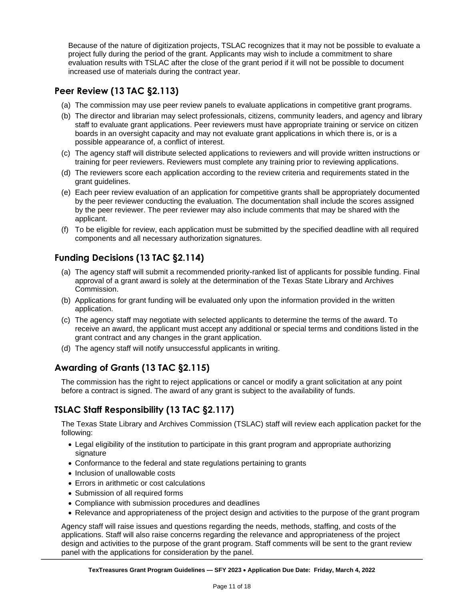Because of the nature of digitization projects, TSLAC recognizes that it may not be possible to evaluate a project fully during the period of the grant. Applicants may wish to include a commitment to share evaluation results with TSLAC after the close of the grant period if it will not be possible to document increased use of materials during the contract year.

## **Peer Review (13 TAC §2.113)**

- (a) The commission may use peer review panels to evaluate applications in competitive grant programs.
- (b) The director and librarian may select professionals, citizens, community leaders, and agency and library staff to evaluate grant applications. Peer reviewers must have appropriate training or service on citizen boards in an oversight capacity and may not evaluate grant applications in which there is, or is a possible appearance of, a conflict of interest.
- (c) The agency staff will distribute selected applications to reviewers and will provide written instructions or training for peer reviewers. Reviewers must complete any training prior to reviewing applications.
- (d) The reviewers score each application according to the review criteria and requirements stated in the grant guidelines.
- (e) Each peer review evaluation of an application for competitive grants shall be appropriately documented by the peer reviewer conducting the evaluation. The documentation shall include the scores assigned by the peer reviewer. The peer reviewer may also include comments that may be shared with the applicant.
- (f) To be eligible for review, each application must be submitted by the specified deadline with all required components and all necessary authorization signatures.

## **Funding Decisions (13 TAC §2.114)**

- (a) The agency staff will submit a recommended priority-ranked list of applicants for possible funding. Final approval of a grant award is solely at the determination of the Texas State Library and Archives Commission.
- (b) Applications for grant funding will be evaluated only upon the information provided in the written application.
- (c) The agency staff may negotiate with selected applicants to determine the terms of the award. To receive an award, the applicant must accept any additional or special terms and conditions listed in the grant contract and any changes in the grant application.
- (d) The agency staff will notify unsuccessful applicants in writing.

## **Awarding of Grants (13 TAC §2.115)**

The commission has the right to reject applications or cancel or modify a grant solicitation at any point before a contract is signed. The award of any grant is subject to the availability of funds.

## **TSLAC Staff Responsibility (13 TAC §2.117)**

The Texas State Library and Archives Commission (TSLAC) staff will review each application packet for the following:

- Legal eligibility of the institution to participate in this grant program and appropriate authorizing signature
- Conformance to the federal and state regulations pertaining to grants
- Inclusion of unallowable costs
- Errors in arithmetic or cost calculations
- Submission of all required forms
- Compliance with submission procedures and deadlines
- Relevance and appropriateness of the project design and activities to the purpose of the grant program

Agency staff will raise issues and questions regarding the needs, methods, staffing, and costs of the applications. Staff will also raise concerns regarding the relevance and appropriateness of the project design and activities to the purpose of the grant program. Staff comments will be sent to the grant review panel with the applications for consideration by the panel.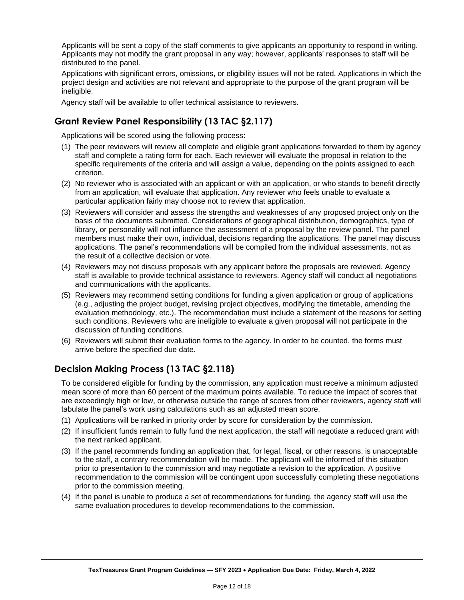Applicants will be sent a copy of the staff comments to give applicants an opportunity to respond in writing. Applicants may not modify the grant proposal in any way; however, applicants' responses to staff will be distributed to the panel.

Applications with significant errors, omissions, or eligibility issues will not be rated. Applications in which the project design and activities are not relevant and appropriate to the purpose of the grant program will be ineligible.

Agency staff will be available to offer technical assistance to reviewers.

### **Grant Review Panel Responsibility (13 TAC §2.117)**

Applications will be scored using the following process:

- (1) The peer reviewers will review all complete and eligible grant applications forwarded to them by agency staff and complete a rating form for each. Each reviewer will evaluate the proposal in relation to the specific requirements of the criteria and will assign a value, depending on the points assigned to each criterion.
- (2) No reviewer who is associated with an applicant or with an application, or who stands to benefit directly from an application, will evaluate that application. Any reviewer who feels unable to evaluate a particular application fairly may choose not to review that application.
- (3) Reviewers will consider and assess the strengths and weaknesses of any proposed project only on the basis of the documents submitted. Considerations of geographical distribution, demographics, type of library, or personality will not influence the assessment of a proposal by the review panel. The panel members must make their own, individual, decisions regarding the applications. The panel may discuss applications. The panel's recommendations will be compiled from the individual assessments, not as the result of a collective decision or vote.
- (4) Reviewers may not discuss proposals with any applicant before the proposals are reviewed. Agency staff is available to provide technical assistance to reviewers. Agency staff will conduct all negotiations and communications with the applicants.
- (5) Reviewers may recommend setting conditions for funding a given application or group of applications (e.g., adjusting the project budget, revising project objectives, modifying the timetable, amending the evaluation methodology, etc.). The recommendation must include a statement of the reasons for setting such conditions. Reviewers who are ineligible to evaluate a given proposal will not participate in the discussion of funding conditions.
- (6) Reviewers will submit their evaluation forms to the agency. In order to be counted, the forms must arrive before the specified due date.

#### **Decision Making Process (13 TAC §2.118)**

To be considered eligible for funding by the commission, any application must receive a minimum adjusted mean score of more than 60 percent of the maximum points available. To reduce the impact of scores that are exceedingly high or low, or otherwise outside the range of scores from other reviewers, agency staff will tabulate the panel's work using calculations such as an adjusted mean score.

- (1) Applications will be ranked in priority order by score for consideration by the commission.
- (2) If insufficient funds remain to fully fund the next application, the staff will negotiate a reduced grant with the next ranked applicant.
- (3) If the panel recommends funding an application that, for legal, fiscal, or other reasons, is unacceptable to the staff, a contrary recommendation will be made. The applicant will be informed of this situation prior to presentation to the commission and may negotiate a revision to the application. A positive recommendation to the commission will be contingent upon successfully completing these negotiations prior to the commission meeting.
- (4) If the panel is unable to produce a set of recommendations for funding, the agency staff will use the same evaluation procedures to develop recommendations to the commission.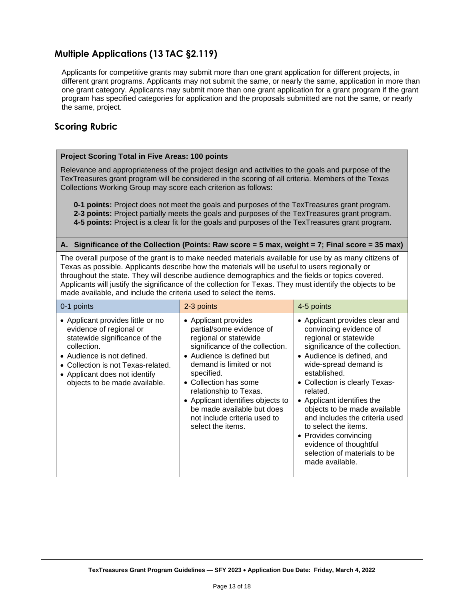## **Multiple Applications (13 TAC §2.119)**

Applicants for competitive grants may submit more than one grant application for different projects, in different grant programs. Applicants may not submit the same, or nearly the same, application in more than one grant category. Applicants may submit more than one grant application for a grant program if the grant program has specified categories for application and the proposals submitted are not the same, or nearly the same, project.

#### **Scoring Rubric**

#### **Project Scoring Total in Five Areas: 100 points**

Relevance and appropriateness of the project design and activities to the goals and purpose of the TexTreasures grant program will be considered in the scoring of all criteria. Members of the Texas Collections Working Group may score each criterion as follows:

**0-1 points:** Project does not meet the goals and purposes of the TexTreasures grant program. **2-3 points:** Project partially meets the goals and purposes of the TexTreasures grant program. **4-5 points:** Project is a clear fit for the goals and purposes of the TexTreasures grant program.

#### **A. Significance of the Collection (Points: Raw score = 5 max, weight = 7; Final score = 35 max)**

The overall purpose of the grant is to make needed materials available for use by as many citizens of Texas as possible. Applicants describe how the materials will be useful to users regionally or throughout the state. They will describe audience demographics and the fields or topics covered. Applicants will justify the significance of the collection for Texas. They must identify the objects to be made available, and include the criteria used to select the items.

| 0-1 points                                                                                                                                                                                                                                         | 2-3 points                                                                                                                                                                                                                                                                                                                                                     | 4-5 points                                                                                                                                                                                                                                                                                                                                                                                                                                                              |
|----------------------------------------------------------------------------------------------------------------------------------------------------------------------------------------------------------------------------------------------------|----------------------------------------------------------------------------------------------------------------------------------------------------------------------------------------------------------------------------------------------------------------------------------------------------------------------------------------------------------------|-------------------------------------------------------------------------------------------------------------------------------------------------------------------------------------------------------------------------------------------------------------------------------------------------------------------------------------------------------------------------------------------------------------------------------------------------------------------------|
| • Applicant provides little or no<br>evidence of regional or<br>statewide significance of the<br>collection.<br>• Audience is not defined.<br>• Collection is not Texas-related.<br>• Applicant does not identify<br>objects to be made available. | • Applicant provides<br>partial/some evidence of<br>regional or statewide<br>significance of the collection.<br>• Audience is defined but<br>demand is limited or not<br>specified.<br>• Collection has some<br>relationship to Texas.<br>• Applicant identifies objects to<br>be made available but does<br>not include criteria used to<br>select the items. | • Applicant provides clear and<br>convincing evidence of<br>regional or statewide<br>significance of the collection.<br>• Audience is defined, and<br>wide-spread demand is<br>established.<br>• Collection is clearly Texas-<br>related.<br>• Applicant identifies the<br>objects to be made available<br>and includes the criteria used<br>to select the items.<br>• Provides convincing<br>evidence of thoughtful<br>selection of materials to be<br>made available. |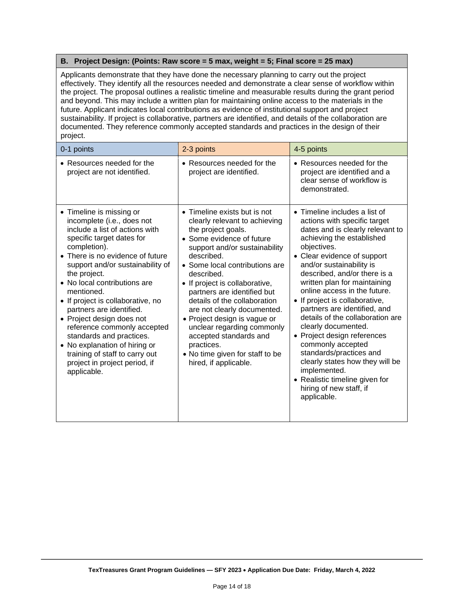#### **B. Project Design: (Points: Raw score = 5 max, weight = 5; Final score = 25 max)**

Applicants demonstrate that they have done the necessary planning to carry out the project effectively. They identify all the resources needed and demonstrate a clear sense of workflow within the project. The proposal outlines a realistic timeline and measurable results during the grant period and beyond. This may include a written plan for maintaining online access to the materials in the future. Applicant indicates local contributions as evidence of institutional support and project sustainability. If project is collaborative, partners are identified, and details of the collaboration are documented. They reference commonly accepted standards and practices in the design of their project.

| 0-1 points                                                                                                                                                                                                                                                                                                                                                                                                                                                                                                                                              | 2-3 points                                                                                                                                                                                                                                                                                                                                                                                                                                                                                                        | 4-5 points                                                                                                                                                                                                                                                                                                                                                                                                                                                                                                                                                                                                                                          |
|---------------------------------------------------------------------------------------------------------------------------------------------------------------------------------------------------------------------------------------------------------------------------------------------------------------------------------------------------------------------------------------------------------------------------------------------------------------------------------------------------------------------------------------------------------|-------------------------------------------------------------------------------------------------------------------------------------------------------------------------------------------------------------------------------------------------------------------------------------------------------------------------------------------------------------------------------------------------------------------------------------------------------------------------------------------------------------------|-----------------------------------------------------------------------------------------------------------------------------------------------------------------------------------------------------------------------------------------------------------------------------------------------------------------------------------------------------------------------------------------------------------------------------------------------------------------------------------------------------------------------------------------------------------------------------------------------------------------------------------------------------|
| • Resources needed for the<br>project are not identified.                                                                                                                                                                                                                                                                                                                                                                                                                                                                                               | • Resources needed for the<br>project are identified.                                                                                                                                                                                                                                                                                                                                                                                                                                                             | • Resources needed for the<br>project are identified and a<br>clear sense of workflow is<br>demonstrated.                                                                                                                                                                                                                                                                                                                                                                                                                                                                                                                                           |
| • Timeline is missing or<br>incomplete (i.e., does not<br>include a list of actions with<br>specific target dates for<br>completion).<br>• There is no evidence of future<br>support and/or sustainability of<br>the project.<br>• No local contributions are<br>mentioned.<br>• If project is collaborative, no<br>partners are identified.<br>• Project design does not<br>reference commonly accepted<br>standards and practices.<br>• No explanation of hiring or<br>training of staff to carry out<br>project in project period, if<br>applicable. | • Timeline exists but is not<br>clearly relevant to achieving<br>the project goals.<br>• Some evidence of future<br>support and/or sustainability<br>described.<br>• Some local contributions are<br>described.<br>• If project is collaborative,<br>partners are identified but<br>details of the collaboration<br>are not clearly documented.<br>• Project design is vague or<br>unclear regarding commonly<br>accepted standards and<br>practices.<br>• No time given for staff to be<br>hired, if applicable. | • Timeline includes a list of<br>actions with specific target<br>dates and is clearly relevant to<br>achieving the established<br>objectives.<br>• Clear evidence of support<br>and/or sustainability is<br>described, and/or there is a<br>written plan for maintaining<br>online access in the future.<br>• If project is collaborative,<br>partners are identified, and<br>details of the collaboration are<br>clearly documented.<br>• Project design references<br>commonly accepted<br>standards/practices and<br>clearly states how they will be<br>implemented.<br>• Realistic timeline given for<br>hiring of new staff, if<br>applicable. |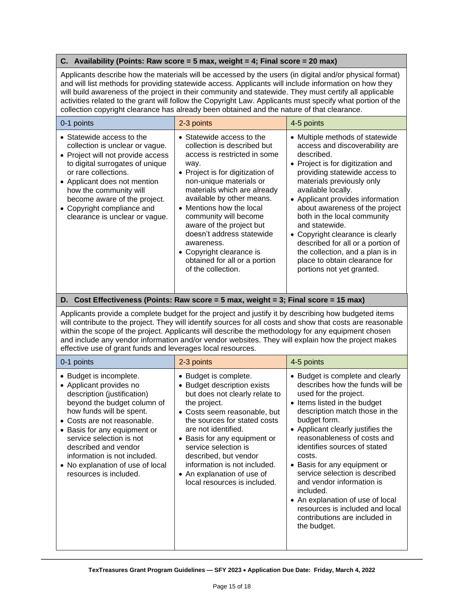#### **C. Availability (Points: Raw score = 5 max, weight = 4; Final score = 20 max)**

Applicants describe how the materials will be accessed by the users (in digital and/or physical format) and will list methods for providing statewide access. Applicants will include information on how they will build awareness of the project in their community and statewide. They must certify all applicable activities related to the grant will follow the Copyright Law. Applicants must specify what portion of the collection copyright clearance has already been obtained and the nature of that clearance.

| 0-1 points                                                                                                                                                                                                                                                                                                             | 2-3 points                                                                                                                                                                                                                                                                                                                                                                                                                                 | 4-5 points                                                                                                                                                                                                                                                                                                                                                                                                                                                                                                 |
|------------------------------------------------------------------------------------------------------------------------------------------------------------------------------------------------------------------------------------------------------------------------------------------------------------------------|--------------------------------------------------------------------------------------------------------------------------------------------------------------------------------------------------------------------------------------------------------------------------------------------------------------------------------------------------------------------------------------------------------------------------------------------|------------------------------------------------------------------------------------------------------------------------------------------------------------------------------------------------------------------------------------------------------------------------------------------------------------------------------------------------------------------------------------------------------------------------------------------------------------------------------------------------------------|
| • Statewide access to the<br>collection is unclear or vague.<br>• Project will not provide access<br>to digital surrogates of unique<br>or rare collections.<br>• Applicant does not mention<br>how the community will<br>become aware of the project.<br>• Copyright compliance and<br>clearance is unclear or vague. | • Statewide access to the<br>collection is described but<br>access is restricted in some<br>way.<br>• Project is for digitization of<br>non-unique materials or<br>materials which are already<br>available by other means.<br>• Mentions how the local<br>community will become<br>aware of the project but<br>doesn't address statewide<br>awareness.<br>• Copyright clearance is<br>obtained for all or a portion<br>of the collection. | • Multiple methods of statewide<br>access and discoverability are<br>described.<br>• Project is for digitization and<br>providing statewide access to<br>materials previously only<br>available locally.<br>• Applicant provides information<br>about awareness of the project<br>both in the local community<br>and statewide.<br>• Copyright clearance is clearly<br>described for all or a portion of<br>the collection, and a plan is in<br>place to obtain clearance for<br>portions not yet granted. |

#### **D. Cost Effectiveness (Points: Raw score = 5 max, weight = 3; Final score = 15 max)**

Applicants provide a complete budget for the project and justify it by describing how budgeted items will contribute to the project. They will identify sources for all costs and show that costs are reasonable within the scope of the project. Applicants will describe the methodology for any equipment chosen and include any vendor information and/or vendor websites. They will explain how the project makes effective use of grant funds and leverages local resources.

| 0-1 points                                                                                                                                                                                                                                                                                                                                                    | 2-3 points                                                                                                                                                                                                                                                                                                                                                                      | 4-5 points                                                                                                                                                                                                                                                                                                                                                                                                                                                                                                                      |
|---------------------------------------------------------------------------------------------------------------------------------------------------------------------------------------------------------------------------------------------------------------------------------------------------------------------------------------------------------------|---------------------------------------------------------------------------------------------------------------------------------------------------------------------------------------------------------------------------------------------------------------------------------------------------------------------------------------------------------------------------------|---------------------------------------------------------------------------------------------------------------------------------------------------------------------------------------------------------------------------------------------------------------------------------------------------------------------------------------------------------------------------------------------------------------------------------------------------------------------------------------------------------------------------------|
| • Budget is incomplete.<br>• Applicant provides no<br>description (justification)<br>beyond the budget column of<br>how funds will be spent.<br>• Costs are not reasonable.<br>• Basis for any equipment or<br>service selection is not<br>described and vendor<br>information is not included.<br>• No explanation of use of local<br>resources is included. | • Budget is complete.<br><b>Budget description exists</b><br>but does not clearly relate to<br>the project.<br>• Costs seem reasonable, but<br>the sources for stated costs<br>are not identified.<br>Basis for any equipment or<br>service selection is<br>described, but vendor<br>information is not included.<br>• An explanation of use of<br>local resources is included. | • Budget is complete and clearly<br>describes how the funds will be<br>used for the project.<br>• Items listed in the budget<br>description match those in the<br>budget form.<br>• Applicant clearly justifies the<br>reasonableness of costs and<br>identifies sources of stated<br>costs.<br>• Basis for any equipment or<br>service selection is described<br>and vendor information is<br>included.<br>• An explanation of use of local<br>resources is included and local<br>contributions are included in<br>the budget. |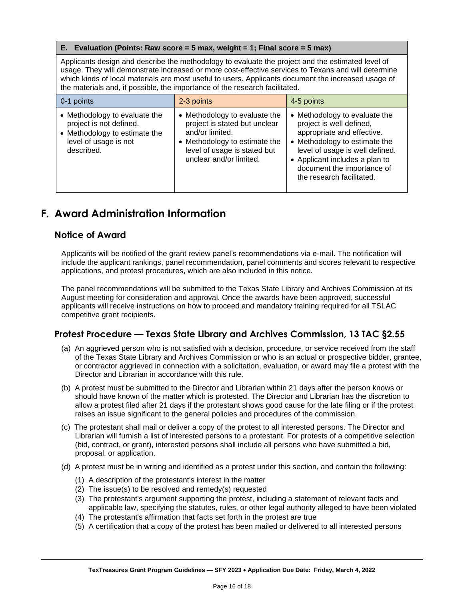#### **E. Evaluation (Points: Raw score = 5 max, weight = 1; Final score = 5 max)**

Applicants design and describe the methodology to evaluate the project and the estimated level of usage. They will demonstrate increased or more cost-effective services to Texans and will determine which kinds of local materials are most useful to users. Applicants document the increased usage of the materials and, if possible, the importance of the research facilitated.

| 0-1 points                                                                                                                       | 2-3 points                                                                                                                                                                    | 4-5 points                                                                                                                                                                                                                                               |
|----------------------------------------------------------------------------------------------------------------------------------|-------------------------------------------------------------------------------------------------------------------------------------------------------------------------------|----------------------------------------------------------------------------------------------------------------------------------------------------------------------------------------------------------------------------------------------------------|
| • Methodology to evaluate the<br>project is not defined.<br>• Methodology to estimate the<br>level of usage is not<br>described. | • Methodology to evaluate the<br>project is stated but unclear<br>and/or limited.<br>• Methodology to estimate the<br>level of usage is stated but<br>unclear and/or limited. | • Methodology to evaluate the<br>project is well defined,<br>appropriate and effective.<br>• Methodology to estimate the<br>level of usage is well defined.<br>• Applicant includes a plan to<br>document the importance of<br>the research facilitated. |

## <span id="page-15-0"></span>**F. Award Administration Information**

#### **Notice of Award**

Applicants will be notified of the grant review panel's recommendations via e-mail. The notification will include the applicant rankings, panel recommendation, panel comments and scores relevant to respective applications, and protest procedures, which are also included in this notice.

The panel recommendations will be submitted to the Texas State Library and Archives Commission at its August meeting for consideration and approval. Once the awards have been approved, successful applicants will receive instructions on how to proceed and mandatory training required for all TSLAC competitive grant recipients.

#### **Protest Procedure — Texas State Library and Archives Commission, 13 TAC §2.55**

- (a) An aggrieved person who is not satisfied with a decision, procedure, or service received from the staff of the Texas State Library and Archives Commission or who is an actual or prospective bidder, grantee, or contractor aggrieved in connection with a solicitation, evaluation, or award may file a protest with the Director and Librarian in accordance with this rule.
- (b) A protest must be submitted to the Director and Librarian within 21 days after the person knows or should have known of the matter which is protested. The Director and Librarian has the discretion to allow a protest filed after 21 days if the protestant shows good cause for the late filing or if the protest raises an issue significant to the general policies and procedures of the commission.
- (c) The protestant shall mail or deliver a copy of the protest to all interested persons. The Director and Librarian will furnish a list of interested persons to a protestant. For protests of a competitive selection (bid, contract, or grant), interested persons shall include all persons who have submitted a bid, proposal, or application.
- (d) A protest must be in writing and identified as a protest under this section, and contain the following:
	- (1) A description of the protestant's interest in the matter
	- (2) The issue(s) to be resolved and remedy(s) requested
	- (3) The protestant's argument supporting the protest, including a statement of relevant facts and applicable law, specifying the statutes, rules, or other legal authority alleged to have been violated
	- (4) The protestant's affirmation that facts set forth in the protest are true
	- (5) A certification that a copy of the protest has been mailed or delivered to all interested persons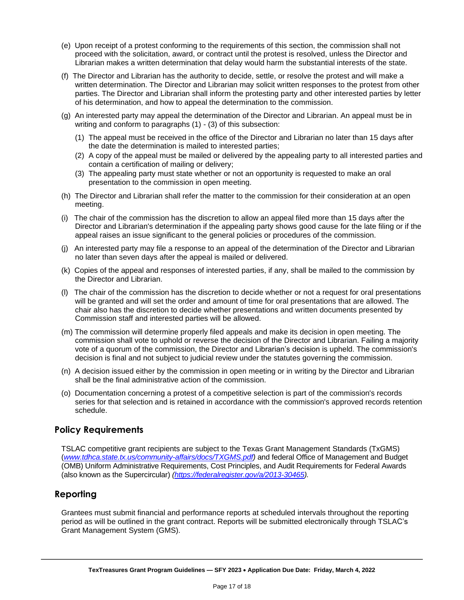- (e) Upon receipt of a protest conforming to the requirements of this section, the commission shall not proceed with the solicitation, award, or contract until the protest is resolved, unless the Director and Librarian makes a written determination that delay would harm the substantial interests of the state.
- (f) The Director and Librarian has the authority to decide, settle, or resolve the protest and will make a written determination. The Director and Librarian may solicit written responses to the protest from other parties. The Director and Librarian shall inform the protesting party and other interested parties by letter of his determination, and how to appeal the determination to the commission.
- (g) An interested party may appeal the determination of the Director and Librarian. An appeal must be in writing and conform to paragraphs (1) - (3) of this subsection:
	- (1) The appeal must be received in the office of the Director and Librarian no later than 15 days after the date the determination is mailed to interested parties;
	- (2) A copy of the appeal must be mailed or delivered by the appealing party to all interested parties and contain a certification of mailing or delivery;
	- (3) The appealing party must state whether or not an opportunity is requested to make an oral presentation to the commission in open meeting.
- (h) The Director and Librarian shall refer the matter to the commission for their consideration at an open meeting.
- (i) The chair of the commission has the discretion to allow an appeal filed more than 15 days after the Director and Librarian's determination if the appealing party shows good cause for the late filing or if the appeal raises an issue significant to the general policies or procedures of the commission.
- (j) An interested party may file a response to an appeal of the determination of the Director and Librarian no later than seven days after the appeal is mailed or delivered.
- (k) Copies of the appeal and responses of interested parties, if any, shall be mailed to the commission by the Director and Librarian.
- (l) The chair of the commission has the discretion to decide whether or not a request for oral presentations will be granted and will set the order and amount of time for oral presentations that are allowed. The chair also has the discretion to decide whether presentations and written documents presented by Commission staff and interested parties will be allowed.
- (m) The commission will determine properly filed appeals and make its decision in open meeting. The commission shall vote to uphold or reverse the decision of the Director and Librarian. Failing a majority vote of a quorum of the commission, the Director and Librarian's decision is upheld. The commission's decision is final and not subject to judicial review under the statutes governing the commission.
- (n) A decision issued either by the commission in open meeting or in writing by the Director and Librarian shall be the final administrative action of the commission.
- (o) Documentation concerning a protest of a competitive selection is part of the commission's records series for that selection and is retained in accordance with the commission's approved records retention schedule.

#### **Policy Requirements**

TSLAC competitive grant recipients are subject to the Texas Grant Management Standards (TxGMS) (*[www.tdhca.state.tx.us/community-affairs/docs/TXGMS.pdf\)](file://///tslac4avricky/ld/LSTA%20Competitive%20Grants/Emergency%20Grants/TSLAC%20ARPA/NOFO/www.tdhca.state.tx.us/community-affairs/docs/TXGMS.pdf)* and federal Office of Management and Budget (OMB) Uniform Administrative Requirements, Cost Principles, and Audit Requirements for Federal Awards (also known as the Supercircular) *[\(https://federalregister.gov/a/2013-30465\)](https://federalregister.gov/a/2013-30465).*

#### **Reporting**

Grantees must submit financial and performance reports at scheduled intervals throughout the reporting period as will be outlined in the grant contract. Reports will be submitted electronically through TSLAC's Grant Management System (GMS).